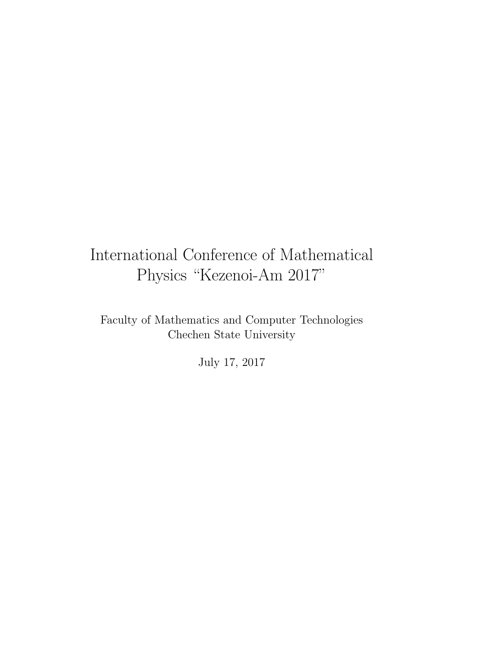### International Conference of Mathematical Physics "Kezenoi-Am 2017"

Faculty of Mathematics and Computer Technologies Chechen State University

July 17, 2017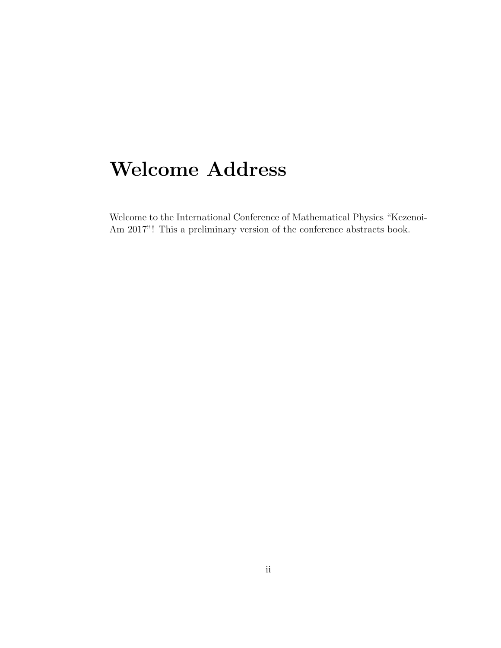## **Welcome Address**

Welcome to the International Conference of Mathematical Physics "Kezenoi-Am 2017"! This a preliminary version of the conference abstracts book.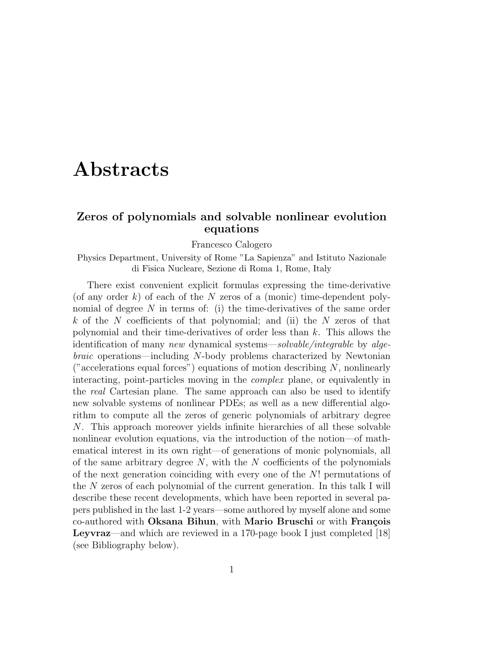### **Abstracts**

### **Zeros of polynomials and solvable nonlinear evolution equations**

Francesco Calogero

#### Physics Department, University of Rome "La Sapienza" and Istituto Nazionale di Fisica Nucleare, Sezione di Roma 1, Rome, Italy

There exist convenient explicit formulas expressing the time-derivative (of any order *k*) of each of the *N* zeros of a (monic) time-dependent polynomial of degree *N* in terms of: (i) the time-derivatives of the same order *k* of the *N* coefficients of that polynomial; and (ii) the *N* zeros of that polynomial and their time-derivatives of order less than *k*. This allows the identification of many *new* dynamical systems—*solvable/integrable* by *algebraic* operations—including *N*-body problems characterized by Newtonian ("accelerations equal forces") equations of motion describing *N*, nonlinearly interacting, point-particles moving in the *complex* plane, or equivalently in the *real* Cartesian plane. The same approach can also be used to identify new solvable systems of nonlinear PDEs; as well as a new differential algorithm to compute all the zeros of generic polynomials of arbitrary degree *N*. This approach moreover yields infinite hierarchies of all these solvable nonlinear evolution equations, via the introduction of the notion—of mathematical interest in its own right—of generations of monic polynomials, all of the same arbitrary degree *N*, with the *N* coefficients of the polynomials of the next generation coinciding with every one of the *N*! permutations of the *N* zeros of each polynomial of the current generation. In this talk I will describe these recent developments, which have been reported in several papers published in the last 1-2 years—some authored by myself alone and some co-authored with **Oksana Bihun**, with **Mario Bruschi** or with **François Leyvraz**—and which are reviewed in a 170-page book I just completed [18] (see Bibliography below).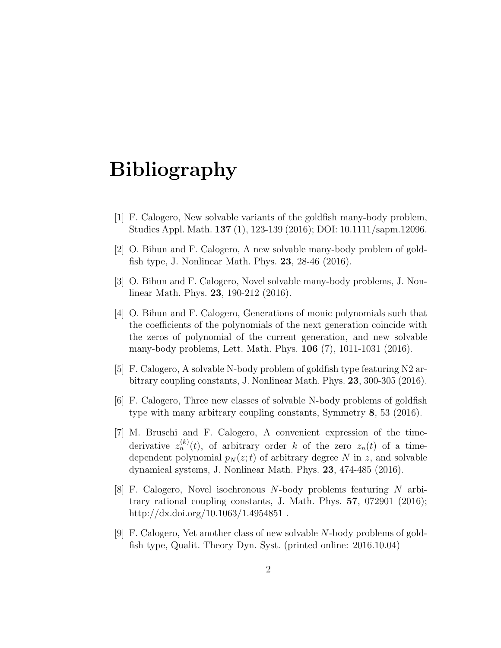- [1] F. Calogero, New solvable variants of the goldfish many-body problem, Studies Appl. Math. **137** (1), 123-139 (2016); DOI: 10.1111/sapm.12096.
- [2] O. Bihun and F. Calogero, A new solvable many-body problem of goldfish type, J. Nonlinear Math. Phys. **23**, 28-46 (2016).
- [3] O. Bihun and F. Calogero, Novel solvable many-body problems, J. Nonlinear Math. Phys. **23**, 190-212 (2016).
- [4] O. Bihun and F. Calogero, Generations of monic polynomials such that the coefficients of the polynomials of the next generation coincide with the zeros of polynomial of the current generation, and new solvable many-body problems, Lett. Math. Phys. **106** (7), 1011-1031 (2016).
- [5] F. Calogero, A solvable N-body problem of goldfish type featuring N2 arbitrary coupling constants, J. Nonlinear Math. Phys. **23**, 300-305 (2016).
- [6] F. Calogero, Three new classes of solvable N-body problems of goldfish type with many arbitrary coupling constants, Symmetry **8**, 53 (2016).
- [7] M. Bruschi and F. Calogero, A convenient expression of the timederivative  $z_n^{(k)}(t)$ , of arbitrary order *k* of the zero  $z_n(t)$  of a timedependent polynomial  $p_N(z;t)$  of arbitrary degree N in z, and solvable dynamical systems, J. Nonlinear Math. Phys. **23**, 474-485 (2016).
- [8] F. Calogero, Novel isochronous *N*-body problems featuring *N* arbitrary rational coupling constants, J. Math. Phys. **57**, 072901 (2016); http://dx.doi.org/10.1063/1.4954851.
- [9] F. Calogero, Yet another class of new solvable *N*-body problems of goldfish type, Qualit. Theory Dyn. Syst. (printed online: 2016.10.04)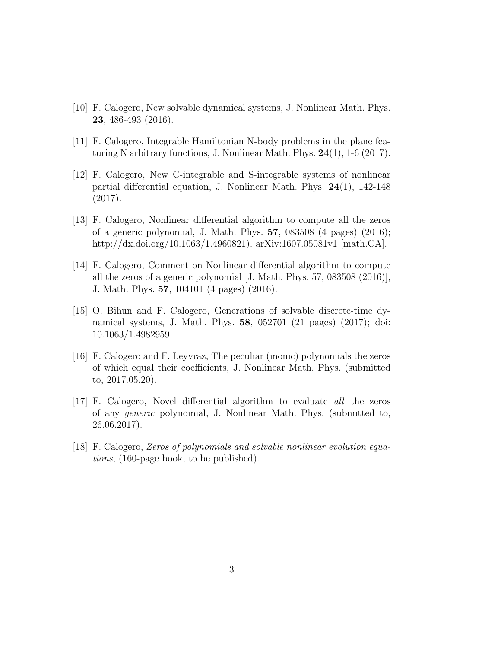- [10] F. Calogero, New solvable dynamical systems, J. Nonlinear Math. Phys. **23**, 486-493 (2016).
- [11] F. Calogero, Integrable Hamiltonian N-body problems in the plane featuring N arbitrary functions, J. Nonlinear Math. Phys. **24**(1), 1-6 (2017).
- [12] F. Calogero, New C-integrable and S-integrable systems of nonlinear partial differential equation, J. Nonlinear Math. Phys. **24**(1), 142-148 (2017).
- [13] F. Calogero, Nonlinear differential algorithm to compute all the zeros of a generic polynomial, J. Math. Phys. **57**, 083508 (4 pages) (2016); http://dx.doi.org/10.1063/1.4960821). arXiv:1607.05081v1 [math.CA].
- [14] F. Calogero, Comment on Nonlinear differential algorithm to compute all the zeros of a generic polynomial [J. Math. Phys. 57, 083508 (2016)], J. Math. Phys. **57**, 104101 (4 pages) (2016).
- [15] O. Bihun and F. Calogero, Generations of solvable discrete-time dynamical systems, J. Math. Phys. **58**, 052701 (21 pages) (2017); doi: 10.1063/1.4982959.
- [16] F. Calogero and F. Leyvraz, The peculiar (monic) polynomials the zeros of which equal their coefficients, J. Nonlinear Math. Phys. (submitted to, 2017.05.20).
- [17] F. Calogero, Novel differential algorithm to evaluate *all* the zeros of any *generic* polynomial, J. Nonlinear Math. Phys. (submitted to, 26.06.2017).
- [18] F. Calogero, *Zeros of polynomials and solvable nonlinear evolution equations*, (160-page book, to be published).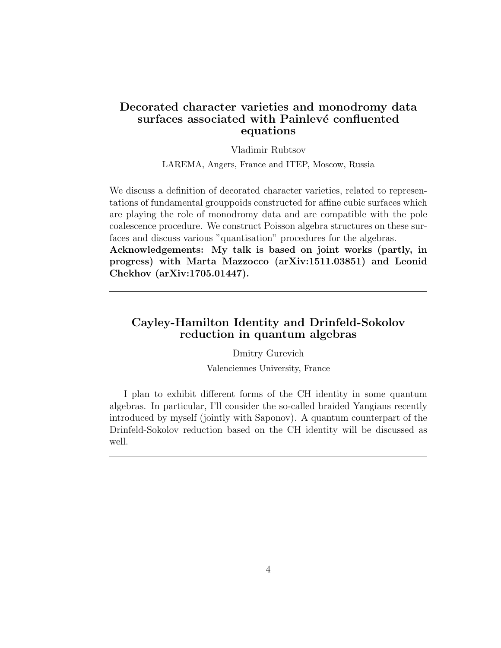### **Decorated character varieties and monodromy data** surfaces associated with Painlevé confluented **equations**

#### Vladimir Rubtsov

LAREMA, Angers, France and ITEP, Moscow, Russia

We discuss a definition of decorated character varieties, related to representations of fundamental grouppoids constructed for affine cubic surfaces which are playing the role of monodromy data and are compatible with the pole coalescence procedure. We construct Poisson algebra structures on these surfaces and discuss various "quantisation" procedures for the algebras.

**Acknowledgements: My talk is based on joint works (partly, in progress) with Marta Mazzocco (arXiv:1511.03851) and Leonid Chekhov (arXiv:1705.01447).**

#### **Cayley-Hamilton Identity and Drinfeld-Sokolov reduction in quantum algebras**

Dmitry Gurevich Valenciennes University, France

I plan to exhibit different forms of the CH identity in some quantum algebras. In particular, I'll consider the so-called braided Yangians recently introduced by myself (jointly with Saponov). A quantum counterpart of the Drinfeld-Sokolov reduction based on the CH identity will be discussed as well.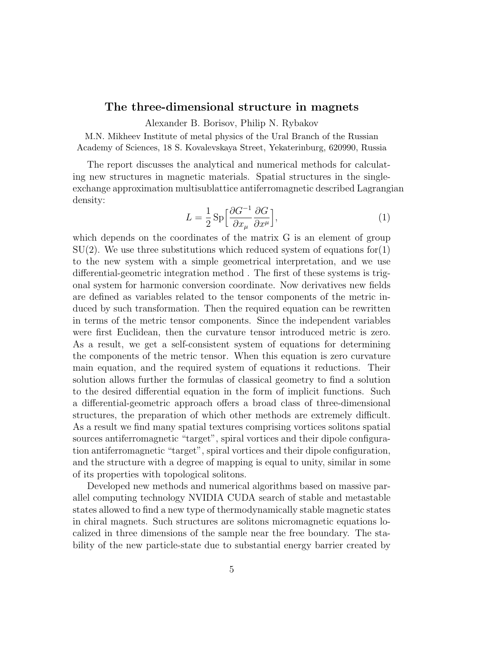#### **The three-dimensional structure in magnets**

Alexander B. Borisov, Philip N. Rybakov

M.N. Mikheev Institute of metal physics of the Ural Branch of the Russian Academy of Sciences, 18 S. Kovalevskaya Street, Yekaterinburg, 620990, Russia

The report discusses the analytical and numerical methods for calculating new structures in magnetic materials. Spatial structures in the singleexchange approximation multisublattice antiferromagnetic described Lagrangian density:

$$
L = \frac{1}{2} \operatorname{Sp} \left[ \frac{\partial G^{-1}}{\partial x_{\mu}} \frac{\partial G}{\partial x^{\mu}} \right],\tag{1}
$$

which depends on the coordinates of the matrix G is an element of group  $SU(2)$ . We use three substitutions which reduced system of equations for (1) to the new system with a simple geometrical interpretation, and we use differential-geometric integration method . The first of these systems is trigonal system for harmonic conversion coordinate. Now derivatives new fields are defined as variables related to the tensor components of the metric induced by such transformation. Then the required equation can be rewritten in terms of the metric tensor components. Since the independent variables were first Euclidean, then the curvature tensor introduced metric is zero. As a result, we get a self-consistent system of equations for determining the components of the metric tensor. When this equation is zero curvature main equation, and the required system of equations it reductions. Their solution allows further the formulas of classical geometry to find a solution to the desired differential equation in the form of implicit functions. Such a differential-geometric approach offers a broad class of three-dimensional structures, the preparation of which other methods are extremely difficult. As a result we find many spatial textures comprising vortices solitons spatial sources antiferromagnetic "target", spiral vortices and their dipole configuration antiferromagnetic "target", spiral vortices and their dipole configuration, and the structure with a degree of mapping is equal to unity, similar in some of its properties with topological solitons.

Developed new methods and numerical algorithms based on massive parallel computing technology NVIDIA CUDA search of stable and metastable states allowed to find a new type of thermodynamically stable magnetic states in chiral magnets. Such structures are solitons micromagnetic equations localized in three dimensions of the sample near the free boundary. The stability of the new particle-state due to substantial energy barrier created by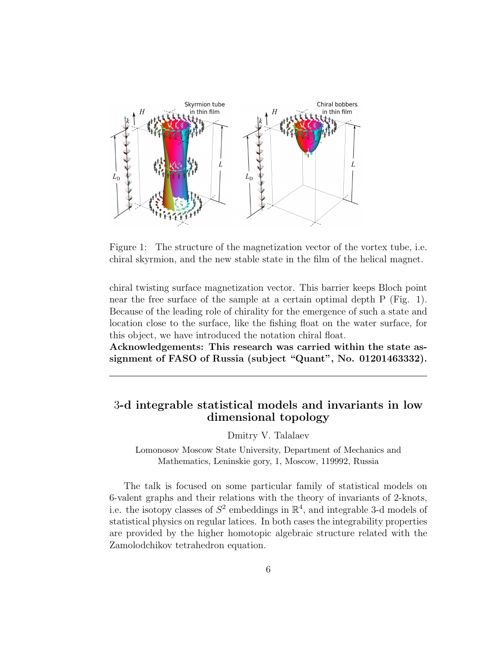

Figure 1: The structure of the magnetization vector of the vortex tube, i.e. chiral skyrmion, and the new stable state in the film of the helical magnet.

chiral twisting surface magnetization vector. This barrier keeps Bloch point near the free surface of the sample at a certain optimal depth P (Fig. 1). Because of the leading role of chirality for the emergence of such a state and location close to the surface, like the fishing float on the water surface, for this object, we have introduced the notation chiral float.

**Acknowledgements: This research was carried within the state assignment of FASO of Russia (subject "Quant", No. 01201463332).**

### 3**-d integrable statistical models and invariants in low dimensional topology**

Dmitry V. Talalaev

Lomonosov Moscow State University, Department of Mechanics and Mathematics, Leninskie gory, 1, Moscow, 119992, Russia

The talk is focused on some particular family of statistical models on 6-valent graphs and their relations with the theory of invariants of 2-knots, i.e. the isotopy classes of  $S^2$  embeddings in  $\mathbb{R}^4$ , and integrable 3-d models of statistical physics on regular latices. In both cases the integrability properties are provided by the higher homotopic algebraic structure related with the Zamolodchikov tetrahedron equation.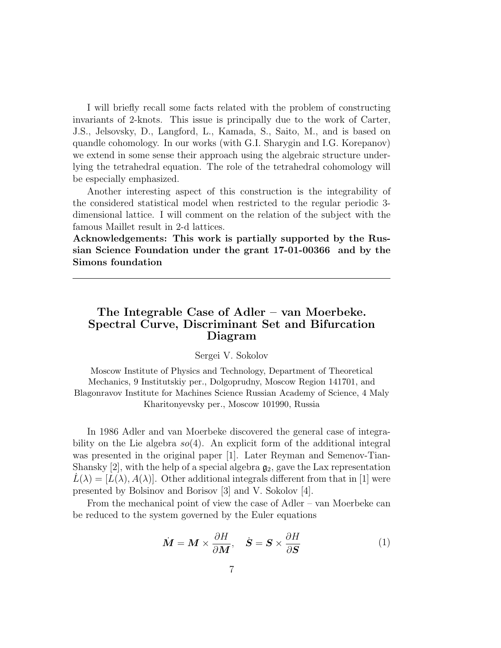I will briefly recall some facts related with the problem of constructing invariants of 2-knots. This issue is principally due to the work of Carter, J.S., Jelsovsky, D., Langford, L., Kamada, S., Saito, M., and is based on quandle cohomology. In our works (with G.I. Sharygin and I.G. Korepanov) we extend in some sense their approach using the algebraic structure underlying the tetrahedral equation. The role of the tetrahedral cohomology will be especially emphasized.

Another interesting aspect of this construction is the integrability of the considered statistical model when restricted to the regular periodic 3 dimensional lattice. I will comment on the relation of the subject with the famous Maillet result in 2-d lattices.

**Acknowledgements: This work is partially supported by the Russian Science Foundation under the grant 17-01-00366 and by the Simons foundation**

### **The Integrable Case of Adler – van Moerbeke. Spectral Curve, Discriminant Set and Bifurcation Diagram**

#### Sergei V. Sokolov

Moscow Institute of Physics and Technology, Department of Theoretical Mechanics, 9 Institutskiy per., Dolgoprudny, Moscow Region 141701, and Blagonravov Institute for Machines Science Russian Academy of Science, 4 Maly Kharitonyevsky per., Moscow 101990, Russia

In 1986 Adler and van Moerbeke discovered the general case of integrability on the Lie algebra *so*(4). An explicit form of the additional integral was presented in the original paper [1]. Later Reyman and Semenov-Tian-Shansky [2], with the help of a special algebra  $\mathfrak{g}_2$ , gave the Lax representation  $L(\lambda) = |L(\lambda), A(\lambda)|$ . Other additional integrals different from that in [1] were presented by Bolsinov and Borisov [3] and V. Sokolov [4].

From the mechanical point of view the case of Adler – van Moerbeke can be reduced to the system governed by the Euler equations

$$
\dot{M} = M \times \frac{\partial H}{\partial M}, \quad \dot{S} = S \times \frac{\partial H}{\partial S}
$$
(1)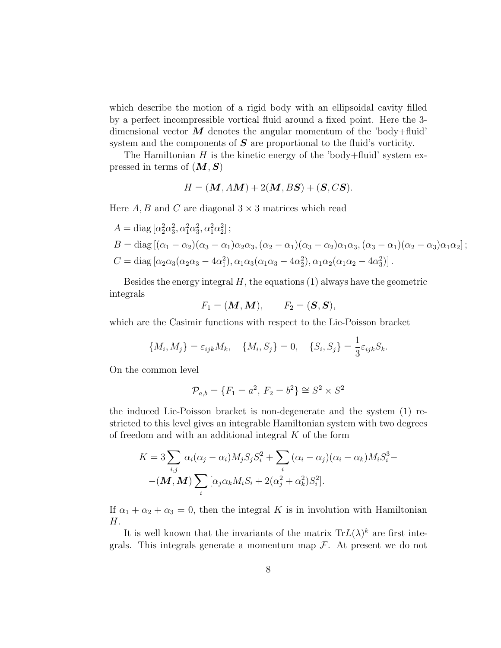which describe the motion of a rigid body with an ellipsoidal cavity filled by a perfect incompressible vortical fluid around a fixed point. Here the 3 dimensional vector  $\boldsymbol{M}$  denotes the angular momentum of the 'body+fluid' system and the components of *S* are proportional to the fluid's vorticity.

The Hamiltonian  $H$  is the kinetic energy of the 'body+fluid' system expressed in terms of (*M,S*)

$$
H = (M, AM) + 2(M, BS) + (S, CS).
$$

Here  $A, B$  and  $C$  are diagonal  $3 \times 3$  matrices which read

$$
A = \text{diag} \left[ \alpha_2^2 \alpha_3^2, \alpha_1^2 \alpha_3^2, \alpha_1^2 \alpha_2^2 \right];
$$
  
\n
$$
B = \text{diag} \left[ (\alpha_1 - \alpha_2)(\alpha_3 - \alpha_1)\alpha_2 \alpha_3, (\alpha_2 - \alpha_1)(\alpha_3 - \alpha_2)\alpha_1 \alpha_3, (\alpha_3 - \alpha_1)(\alpha_2 - \alpha_3)\alpha_1 \alpha_2 \right];
$$
  
\n
$$
C = \text{diag} \left[ \alpha_2 \alpha_3(\alpha_2 \alpha_3 - 4\alpha_1^2), \alpha_1 \alpha_3(\alpha_1 \alpha_3 - 4\alpha_2^2), \alpha_1 \alpha_2(\alpha_1 \alpha_2 - 4\alpha_3^2) \right].
$$

Besides the energy integral *H*, the equations (1) always have the geometric integrals

$$
F_1 = (\boldsymbol{M}, \boldsymbol{M}), \qquad F_2 = (\boldsymbol{S}, \boldsymbol{S}),
$$

which are the Casimir functions with respect to the Lie-Poisson bracket

$$
\{M_i, M_j\} = \varepsilon_{ijk} M_k, \quad \{M_i, S_j\} = 0, \quad \{S_i, S_j\} = \frac{1}{3} \varepsilon_{ijk} S_k.
$$

On the common level

$$
\mathcal{P}_{a,b} = \{F_1 = a^2, F_2 = b^2\} \cong S^2 \times S^2
$$

the induced Lie-Poisson bracket is non-degenerate and the system (1) restricted to this level gives an integrable Hamiltonian system with two degrees of freedom and with an additional integral *K* of the form

$$
K = 3 \sum_{i,j} \alpha_i (\alpha_j - \alpha_i) M_j S_j S_i^2 + \sum_i (\alpha_i - \alpha_j) (\alpha_i - \alpha_k) M_i S_i^3 -
$$

$$
-(\mathbf{M}, \mathbf{M}) \sum_i [\alpha_j \alpha_k M_i S_i + 2(\alpha_j^2 + \alpha_k^2) S_i^2].
$$

If  $\alpha_1 + \alpha_2 + \alpha_3 = 0$ , then the integral *K* is in involution with Hamiltonian *H*.

It is well known that the invariants of the matrix  $Tr L(\lambda)^k$  are first integrals. This integrals generate a momentum map *F*. At present we do not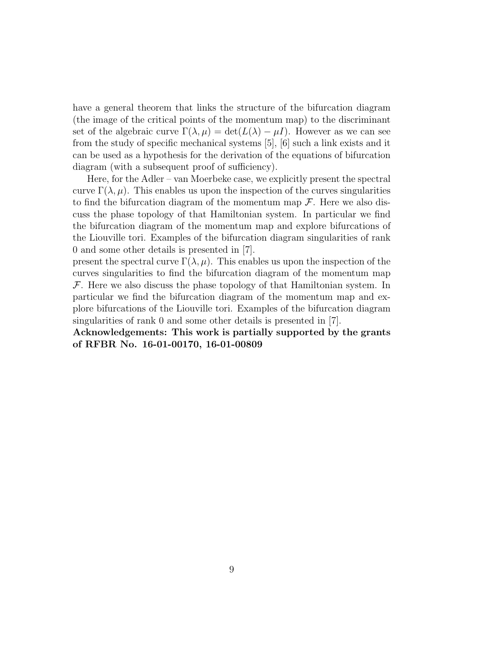have a general theorem that links the structure of the bifurcation diagram (the image of the critical points of the momentum map) to the discriminant set of the algebraic curve  $\Gamma(\lambda, \mu) = \det(L(\lambda) - \mu I)$ . However as we can see from the study of specific mechanical systems [5], [6] such a link exists and it can be used as a hypothesis for the derivation of the equations of bifurcation diagram (with a subsequent proof of sufficiency).

Here, for the Adler – van Moerbeke case, we explicitly present the spectral curve  $\Gamma(\lambda,\mu)$ . This enables us upon the inspection of the curves singularities to find the bifurcation diagram of the momentum map *F*. Here we also discuss the phase topology of that Hamiltonian system. In particular we find the bifurcation diagram of the momentum map and explore bifurcations of the Liouville tori. Examples of the bifurcation diagram singularities of rank 0 and some other details is presented in [7].

present the spectral curve  $\Gamma(\lambda,\mu)$ . This enables us upon the inspection of the curves singularities to find the bifurcation diagram of the momentum map *F*. Here we also discuss the phase topology of that Hamiltonian system. In particular we find the bifurcation diagram of the momentum map and explore bifurcations of the Liouville tori. Examples of the bifurcation diagram singularities of rank 0 and some other details is presented in [7].

**Acknowledgements: This work is partially supported by the grants of RFBR No. 16-01-00170, 16-01-00809**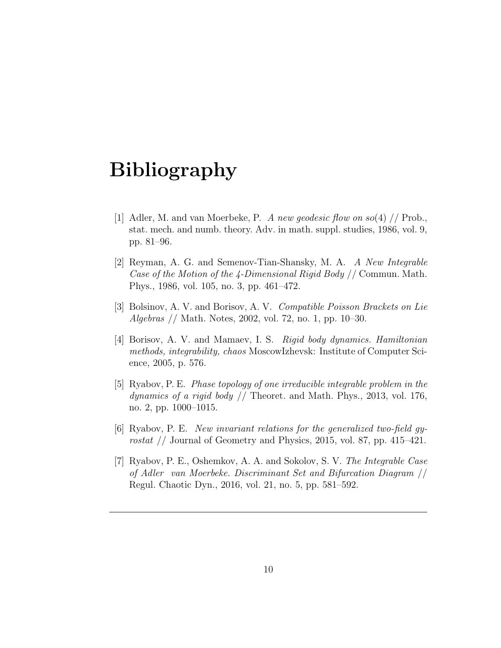- [1] Adler, M. and van Moerbeke, P. *A new geodesic flow on so*(4) // Prob., stat. mech. and numb. theory. Adv. in math. suppl. studies, 1986, vol. 9, pp. 81–96.
- [2] Reyman, A. G. and Semenov-Tian-Shansky, M. A. *A New Integrable Case of the Motion of the 4-Dimensional Rigid Body* // Commun. Math. Phys., 1986, vol. 105, no. 3, pp. 461–472.
- [3] Bolsinov, A. V. and Borisov, A. V. *Compatible Poisson Brackets on Lie Algebras* // Math. Notes, 2002, vol. 72, no. 1, pp. 10–30.
- [4] Borisov, A. V. and Mamaev, I. S. *Rigid body dynamics. Hamiltonian methods, integrability, chaos* MoscowIzhevsk: Institute of Computer Science, 2005, p. 576.
- [5] Ryabov, P. E. *Phase topology of one irreducible integrable problem in the dynamics of a rigid body* // Theoret. and Math. Phys., 2013, vol. 176, no. 2, pp. 1000–1015.
- [6] Ryabov, P. E. *New invariant relations for the generalized two-field gyrostat* // Journal of Geometry and Physics, 2015, vol. 87, pp. 415–421.
- [7] Ryabov, P. E., Oshemkov, A. A. and Sokolov, S. V. *The Integrable Case of Adler van Moerbeke. Discriminant Set and Bifurcation Diagram* // Regul. Chaotic Dyn., 2016, vol. 21, no. 5, pp. 581–592.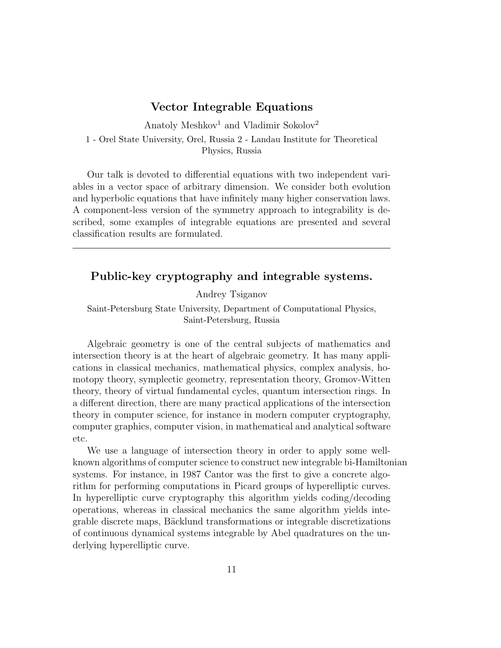#### **Vector Integrable Equations**

Anatoly Meshkov<sup>1</sup> and Vladimir Sokolov<sup>2</sup>

1 - Orel State University, Orel, Russia 2 - Landau Institute for Theoretical Physics, Russia

Our talk is devoted to differential equations with two independent variables in a vector space of arbitrary dimension. We consider both evolution and hyperbolic equations that have infinitely many higher conservation laws. A component-less version of the symmetry approach to integrability is described, some examples of integrable equations are presented and several classification results are formulated.

### **Public-key cryptography and integrable systems.**

Andrey Tsiganov

Saint-Petersburg State University, Department of Computational Physics, Saint-Petersburg, Russia

Algebraic geometry is one of the central subjects of mathematics and intersection theory is at the heart of algebraic geometry. It has many applications in classical mechanics, mathematical physics, complex analysis, homotopy theory, symplectic geometry, representation theory, Gromov-Witten theory, theory of virtual fundamental cycles, quantum intersection rings. In a different direction, there are many practical applications of the intersection theory in computer science, for instance in modern computer cryptography, computer graphics, computer vision, in mathematical and analytical software etc.

We use a language of intersection theory in order to apply some wellknown algorithms of computer science to construct new integrable bi-Hamiltonian systems. For instance, in 1987 Cantor was the first to give a concrete algorithm for performing computations in Picard groups of hyperelliptic curves. In hyperelliptic curve cryptography this algorithm yields coding/decoding operations, whereas in classical mechanics the same algorithm yields integrable discrete maps, Bäcklund transformations or integrable discretizations of continuous dynamical systems integrable by Abel quadratures on the underlying hyperelliptic curve.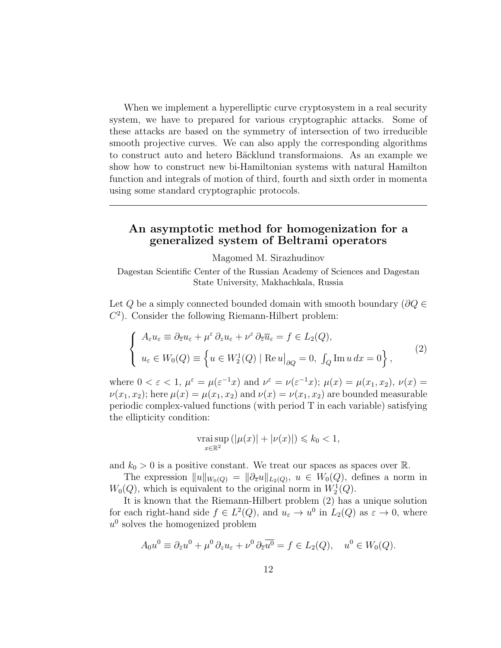When we implement a hyperelliptic curve cryptosystem in a real security system, we have to prepared for various cryptographic attacks. Some of these attacks are based on the symmetry of intersection of two irreducible smooth projective curves. We can also apply the corresponding algorithms to construct auto and hetero Bäcklund transformaions. As an example we show how to construct new bi-Hamiltonian systems with natural Hamilton function and integrals of motion of third, fourth and sixth order in momenta using some standard cryptographic protocols.

#### **An asymptotic method for homogenization for a generalized system of Beltrami operators**

Magomed M. Sirazhudinov

Dagestan Scientific Center of the Russian Academy of Sciences and Dagestan State University, Makhachkala, Russia

Let *Q* be a simply connected bounded domain with smooth boundary (*∂Q ∈*  $C<sup>2</sup>$ ). Consider the following Riemann-Hilbert problem:

$$
\begin{cases}\nA_{\varepsilon}u_{\varepsilon} \equiv \partial_{\overline{z}}u_{\varepsilon} + \mu^{\varepsilon} \partial_{z}u_{\varepsilon} + \nu^{\varepsilon} \partial_{\overline{z}}\overline{u}_{\varepsilon} = f \in L_{2}(Q), \\
u_{\varepsilon} \in W_{0}(Q) \equiv \left\{ u \in W_{2}^{1}(Q) \mid \text{Re}\, u \big|_{\partial Q} = 0, \int_{Q} \text{Im}\, u \, dx = 0 \right\},\n\end{cases}
$$
\n(2)

where  $0 < \varepsilon < 1$ ,  $\mu^{\varepsilon} = \mu(\varepsilon^{-1}x)$  and  $\nu^{\varepsilon} = \nu(\varepsilon^{-1}x)$ ;  $\mu(x) = \mu(x_1, x_2)$ ,  $\nu(x) =$  $\nu(x_1, x_2)$ ; here  $\mu(x) = \mu(x_1, x_2)$  and  $\nu(x) = \nu(x_1, x_2)$  are bounded measurable periodic complex-valued functions (with period T in each variable) satisfying the ellipticity condition:

$$
\operatorname*{vrai\,sup}_{x\in\mathbb{R}^2}(|\mu(x)|+|\nu(x)|)\leq k_0<1,
$$

and  $k_0 > 0$  is a positive constant. We treat our spaces as spaces over  $\mathbb{R}$ .

The expression  $||u||_{W_0(Q)} = ||\partial_{\overline{z}}u||_{L_2(Q)}, u \in W_0(Q)$ , defines a norm in  $W_0(Q)$ , which is equivalent to the original norm in  $W_2^1(Q)$ .

It is known that the Riemann-Hilbert problem (2) has a unique solution for each right-hand side  $f \in L^2(Q)$ , and  $u_{\varepsilon} \to u^0$  in  $L_2(Q)$  as  $\varepsilon \to 0$ , where  $u^0$  solves the homogenized problem

$$
A_0 u^0 \equiv \partial_{\bar{z}} u^0 + \mu^0 \partial_z u_{\varepsilon} + \nu^0 \partial_{\bar{z}} \overline{u^0} = f \in L_2(Q), \quad u^0 \in W_0(Q).
$$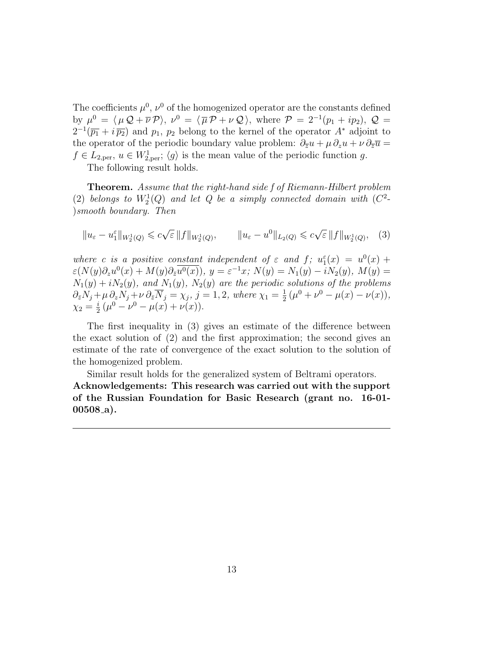The coefficients  $\mu^0$ ,  $\nu^0$  of the homogenized operator are the constants defined by  $\mu^0 = \langle \mu \mathcal{Q} + \overline{\nu} \mathcal{P} \rangle$ ,  $\nu^0 = \langle \overline{\mu} \mathcal{P} + \nu \mathcal{Q} \rangle$ , where  $\mathcal{P} = 2^{-1}(p_1 + ip_2)$ ,  $\mathcal{Q} =$  $2^{-1}(\overline{p_1} + i \overline{p_2})$  and  $p_1, p_2$  belong to the kernel of the operator  $A^*$  adjoint to the operator of the periodic boundary value problem:  $\partial_{\overline{z}}u + \mu \partial_z u + \nu \partial_{\overline{z}}\overline{u} =$  $f \in L_{2,per}$ ,  $u \in W_{2,per}^1$ ;  $\langle g \rangle$  is the mean value of the periodic function *g*.

The following result holds.

**Theorem.** *Assume that the right-hand side f of Riemann-Hilbert problem* (2) *belongs to*  $W_2^1(Q)$  *and let Q be a simply connected domain with*  $(C^2-$ )*smooth boundary. Then*

$$
||u_{\varepsilon} - u_1^{\varepsilon}||_{W_2^1(Q)} \leqslant c\sqrt{\varepsilon} ||f||_{W_2^1(Q)}, \qquad ||u_{\varepsilon} - u^0||_{L_2(Q)} \leqslant c\sqrt{\varepsilon} ||f||_{W_2^1(Q)}, \quad (3)
$$

*where c is a* positive constant independent of  $\varepsilon$  *and*  $f$ ;  $u_1^{\varepsilon}(x) = u^0(x) +$  $\varepsilon(N(y)\partial_z u^0(x) + M(y)\partial_{\bar{z}}\overline{u^0(x)})$ ,  $y = \varepsilon^{-1}x$ ;  $N(y) = N_1(y) - iN_2(y)$ ,  $M(y) =$  $N_1(y) + iN_2(y)$ *, and*  $N_1(y)$ *,*  $N_2(y)$  *are the periodic solutions of the problems*  $\partial_{\bar{z}}N_j + \mu \, \partial_zN_j + \nu \, \partial_{\bar{z}}\overline{N}_j = \chi_j, \, j=1,2, \text{ where } \chi_1 = \frac{1}{2}$  $\frac{1}{2}(\mu^0 + \nu^0 - \mu(x) - \nu(x)),$  $\chi_2 = \frac{i}{2}$  $\frac{i}{2}(\mu^0 - \nu^0 - \mu(x) + \nu(x)).$ 

The first inequality in (3) gives an estimate of the difference between the exact solution of (2) and the first approximation; the second gives an estimate of the rate of convergence of the exact solution to the solution of the homogenized problem.

Similar result holds for the generalized system of Beltrami operators. **Acknowledgements: This research was carried out with the support of the Russian Foundation for Basic Research (grant no. 16-01- 00508 a).**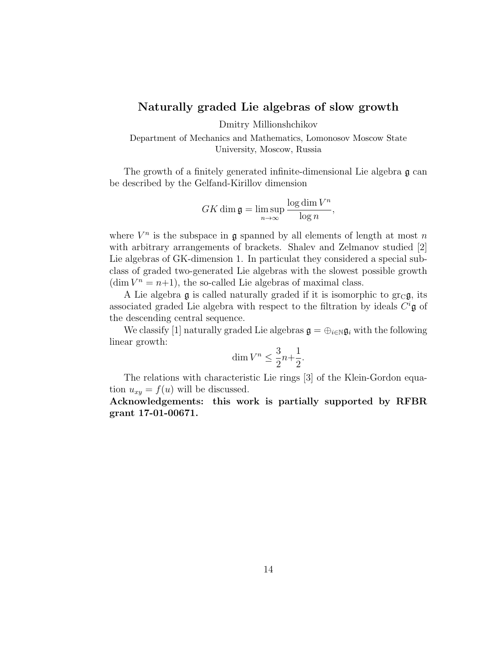#### **Naturally graded Lie algebras of slow growth**

Dmitry Millionshchikov

Department of Mechanics and Mathematics, Lomonosov Moscow State University, Moscow, Russia

The growth of a finitely generated infinite-dimensional Lie algebra g can be described by the Gelfand-Kirillov dimension

$$
GK \dim \mathfrak{g} = \limsup_{n \to \infty} \frac{\log \dim V^n}{\log n},
$$

where  $V^n$  is the subspace in  $\mathfrak g$  spanned by all elements of length at most *n* with arbitrary arrangements of brackets. Shalev and Zelmanov studied [2] Lie algebras of GK-dimension 1. In particulat they considered a special subclass of graded two-generated Lie algebras with the slowest possible growth  $(\dim V^n = n+1)$ , the so-called Lie algebras of maximal class.

A Lie algebra g is called naturally graded if it is isomorphic to  $gr_C g$ , its associated graded Lie algebra with respect to the filtration by ideals *C <sup>i</sup>*g of the descending central sequence.

We classify [1] naturally graded Lie algebras  $\mathfrak{g} = \bigoplus_{i \in \mathbb{N}} \mathfrak{g}_i$  with the following linear growth:

$$
\dim V^n \le \frac{3}{2}n + \frac{1}{2}.
$$

The relations with characteristic Lie rings [3] of the Klein-Gordon equation  $u_{xy} = f(u)$  will be discussed.

**Acknowledgements: this work is partially supported by RFBR grant 17-01-00671.**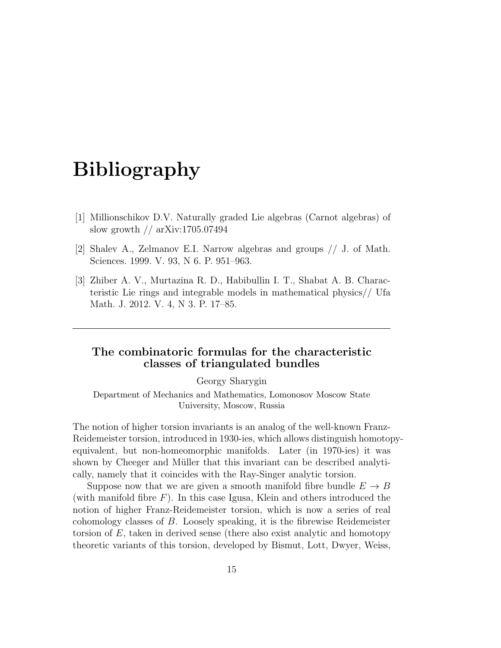- [1] Millionschikov D.V. Naturally graded Lie algebras (Carnot algebras) of slow growth // arXiv:1705.07494
- [2] Shalev A., Zelmanov E.I. Narrow algebras and groups // J. of Math. Sciences. 1999. V. 93, N 6. P. 951–963.
- [3] Zhiber A. V., Murtazina R. D., Habibullin I. T., Shabat A. B. Characteristic Lie rings and integrable models in mathematical physics// Ufa Math. J. 2012. V. 4, N 3. P. 17–85.

### **The combinatoric formulas for the characteristic classes of triangulated bundles**

Georgy Sharygin

Department of Mechanics and Mathematics, Lomonosov Moscow State University, Moscow, Russia

The notion of higher torsion invariants is an analog of the well-known Franz-Reidemeister torsion, introduced in 1930-ies, which allows distinguish homotopyequivalent, but non-homeomorphic manifolds. Later (in 1970-ies) it was shown by Cheeger and Müller that this invariant can be described analytically, namely that it coincides with the Ray-Singer analytic torsion.

Suppose now that we are given a smooth manifold fibre bundle  $E \to B$ (with manifold fibre *F*). In this case Igusa, Klein and others introduced the notion of higher Franz-Reidemeister torsion, which is now a series of real cohomology classes of *B*. Loosely speaking, it is the fibrewise Reidemeister torsion of *E*, taken in derived sense (there also exist analytic and homotopy theoretic variants of this torsion, developed by Bismut, Lott, Dwyer, Weiss,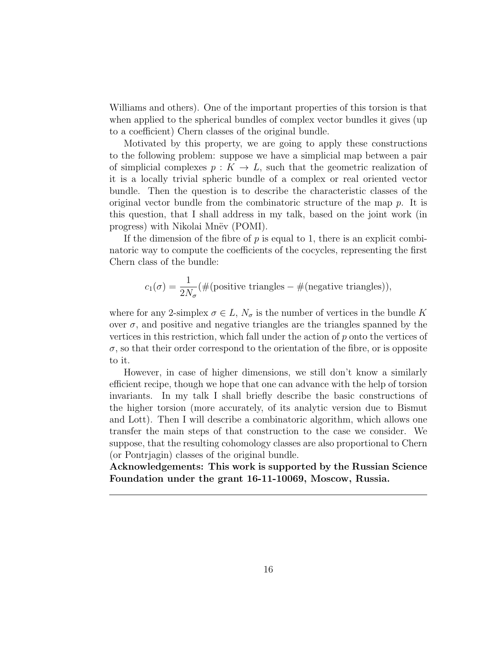Williams and others). One of the important properties of this torsion is that when applied to the spherical bundles of complex vector bundles it gives (up to a coefficient) Chern classes of the original bundle.

Motivated by this property, we are going to apply these constructions to the following problem: suppose we have a simplicial map between a pair of simplicial complexes  $p: K \to L$ , such that the geometric realization of it is a locally trivial spheric bundle of a complex or real oriented vector bundle. Then the question is to describe the characteristic classes of the original vector bundle from the combinatoric structure of the map *p*. It is this question, that I shall address in my talk, based on the joint work (in progress) with Nikolai Mnev (POMI).

If the dimension of the fibre of *p* is equal to 1, there is an explicit combinatoric way to compute the coefficients of the cocycles, representing the first Chern class of the bundle:

$$
c_1(\sigma) = \frac{1}{2N_{\sigma}} (\#(\text{positive triangles} - \#(\text{negative triangles}))),
$$

where for any 2-simplex  $\sigma \in L$ ,  $N_{\sigma}$  is the number of vertices in the bundle K over  $\sigma$ , and positive and negative triangles are the triangles spanned by the vertices in this restriction, which fall under the action of *p* onto the vertices of  $\sigma$ , so that their order correspond to the orientation of the fibre, or is opposite to it.

However, in case of higher dimensions, we still don't know a similarly efficient recipe, though we hope that one can advance with the help of torsion invariants. In my talk I shall briefly describe the basic constructions of the higher torsion (more accurately, of its analytic version due to Bismut and Lott). Then I will describe a combinatoric algorithm, which allows one transfer the main steps of that construction to the case we consider. We suppose, that the resulting cohomology classes are also proportional to Chern (or Pontrjagin) classes of the original bundle.

**Acknowledgements: This work is supported by the Russian Science Foundation under the grant 16-11-10069, Moscow, Russia.**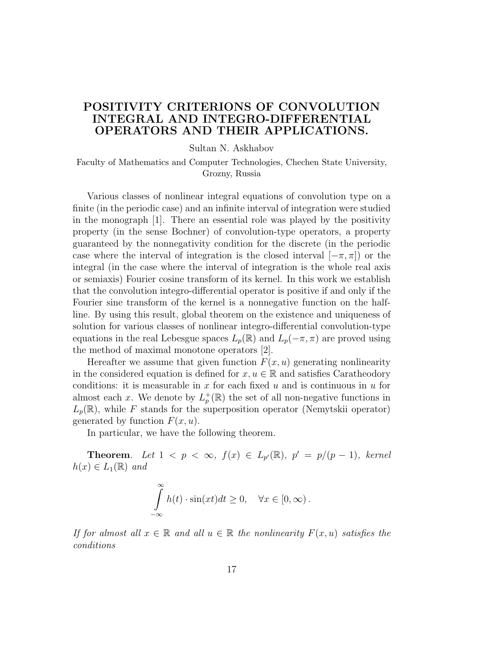### **POSITIVITY CRITERIONS OF CONVOLUTION INTEGRAL AND INTEGRO-DIFFERENTIAL OPERATORS AND THEIR APPLICATIONS.**

Sultan N. Askhabov

Faculty of Mathematics and Computer Technologies, Chechen State University, Grozny, Russia

Various classes of nonlinear integral equations of convolution type on a finite (in the periodic case) and an infinite interval of integration were studied in the monograph [1]. There an essential role was played by the positivity property (in the sense Bochner) of convolution-type operators, a property guaranteed by the nonnegativity condition for the discrete (in the periodic case where the interval of integration is the closed interval  $[-\pi, \pi]$  or the integral (in the case where the interval of integration is the whole real axis or semiaxis) Fourier cosine transform of its kernel. In this work we establish that the convolution integro-differential operator is positive if and only if the Fourier sine transform of the kernel is a nonnegative function on the halfline. By using this result, global theorem on the existence and uniqueness of solution for various classes of nonlinear integro-differential convolution-type equations in the real Lebesgue spaces  $L_p(\mathbb{R})$  and  $L_p(-\pi,\pi)$  are proved using the method of maximal monotone operators [2].

Hereafter we assume that given function  $F(x, u)$  generating nonlinearity in the considered equation is defined for  $x, u \in \mathbb{R}$  and satisfies Caratheodory conditions: it is measurable in *x* for each fixed *u* and is continuous in *u* for almost each *x*. We denote by  $L_p^+(\mathbb{R})$  the set of all non-negative functions in  $L_p(\mathbb{R})$ , while *F* stands for the superposition operator (Nemytskii operator) generated by function  $F(x, u)$ .

In particular, we have the following theorem.

**Theorem.** Let  $1 < p < \infty$ ,  $f(x) \in L_{p'}(\mathbb{R})$ ,  $p' = p/(p-1)$ , kernel  $h(x) \in L_1(\mathbb{R})$  *and* 

$$
\int_{-\infty}^{\infty} h(t) \cdot \sin(xt) dt \ge 0, \quad \forall x \in [0, \infty).
$$

*If for almost all*  $x \in \mathbb{R}$  *and all*  $u \in \mathbb{R}$  *the nonlinearity*  $F(x, u)$  *satisfies the conditions*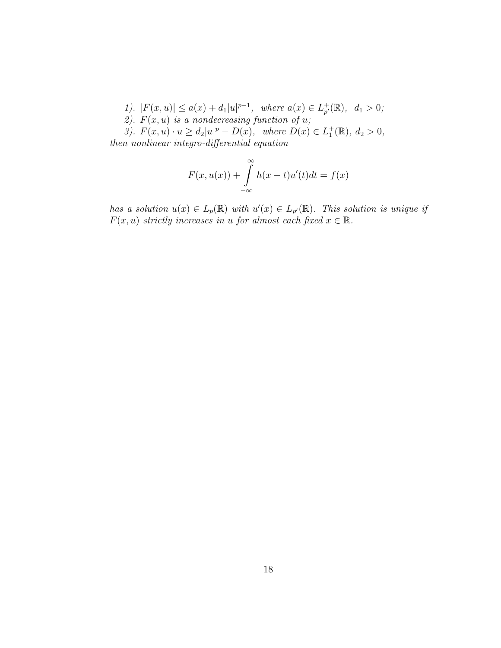*1*).  $|F(x, u)| \le a(x) + d_1 |u|^{p-1}$ , where  $a(x) \in L_{p'}^+$  $_{p'}^{\dagger}(\mathbb{R}), d_1 > 0;$ 2).  $F(x, u)$  *is a nondecreasing function of u*; 3).  $F(x, u) \cdot u \ge d_2 |u|^p - D(x)$ , where  $D(x) \in L_1^+(\mathbb{R})$ ,  $d_2 > 0$ ,

*then nonlinear integro-differential equation*

$$
F(x, u(x)) + \int_{-\infty}^{\infty} h(x - t)u'(t)dt = f(x)
$$

*has a solution*  $u(x) \in L_p(\mathbb{R})$  *with*  $u'(x) \in L_{p'}(\mathbb{R})$ *. This solution is unique if F*(*x, u*) *strictly increases in <i>u for almost each fixed*  $x \in \mathbb{R}$ *.*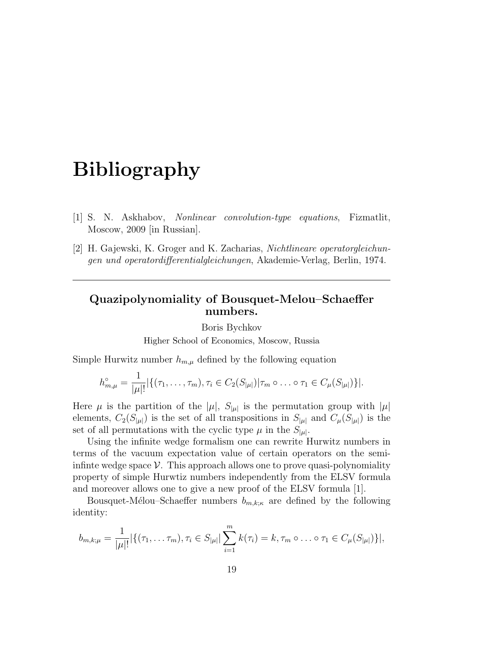- [1] S. N. Askhabov, *Nonlinear convolution-type equations*, Fizmatlit, Moscow, 2009 [in Russian].
- [2] H. Gajewski, K. Groger and K. Zacharias, *Nichtlineare operatorgleichungen und operatordifferentialgleichungen*, Akademie-Verlag, Berlin, 1974.

#### **Quazipolynomiality of Bousquet-Melou–Schaeffer numbers.**

Boris Bychkov

Higher School of Economics, Moscow, Russia

Simple Hurwitz number  $h_{m,\mu}$  defined by the following equation

$$
h_{m,\mu}^{\circ} = \frac{1}{|\mu|!} |\{(\tau_1,\ldots,\tau_m), \tau_i \in C_2(S_{|\mu|}) | \tau_m \circ \ldots \circ \tau_1 \in C_{\mu}(S_{|\mu|})\}|.
$$

Here  $\mu$  is the partition of the  $|\mu|$ ,  $S_{|\mu|}$  is the permutation group with  $|\mu|$ elements,  $C_2(S_{\vert \mu \vert})$  is the set of all transpositions in  $S_{\vert \mu \vert}$  and  $C_{\mu}(S_{\vert \mu \vert})$  is the set of all permutations with the cyclic type  $\mu$  in the  $S_{|\mu|}$ .

Using the infinite wedge formalism one can rewrite Hurwitz numbers in terms of the vacuum expectation value of certain operators on the semiinfinte wedge space  $\mathcal V$ . This approach allows one to prove quasi-polynomiality property of simple Hurwtiz numbers independently from the ELSV formula and moreover allows one to give a new proof of the ELSV formula [1].

Bousquet-Mélou–Schaeffer numbers  $b_{m,k;\kappa}$  are defined by the following identity:

$$
b_{m,k;\mu} = \frac{1}{|\mu|!} |\{(\tau_1, \ldots, \tau_m), \tau_i \in S_{|\mu|} | \sum_{i=1}^m k(\tau_i) = k, \tau_m \circ \ldots \circ \tau_1 \in C_{\mu}(S_{|\mu|})\}|,
$$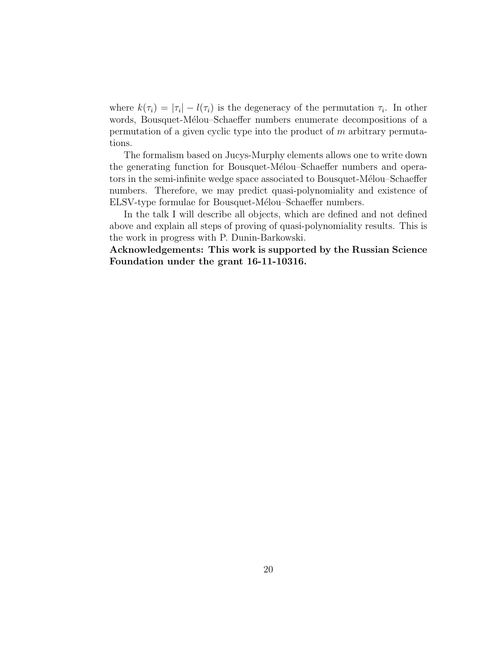where  $k(\tau_i) = |\tau_i| - l(\tau_i)$  is the degeneracy of the permutation  $\tau_i$ . In other words, Bousquet-Mélou–Schaeffer numbers enumerate decompositions of a permutation of a given cyclic type into the product of *m* arbitrary permutations.

The formalism based on Jucys-Murphy elements allows one to write down the generating function for Bousquet-Mélou–Schaeffer numbers and operators in the semi-infinite wedge space associated to Bousquet-Mélou–Schaeffer numbers. Therefore, we may predict quasi-polynomiality and existence of ELSV-type formulae for Bousquet-Mélou–Schaeffer numbers.

In the talk I will describe all objects, which are defined and not defined above and explain all steps of proving of quasi-polynomiality results. This is the work in progress with P. Dunin-Barkowski.

**Acknowledgements: This work is supported by the Russian Science Foundation under the grant 16-11-10316.**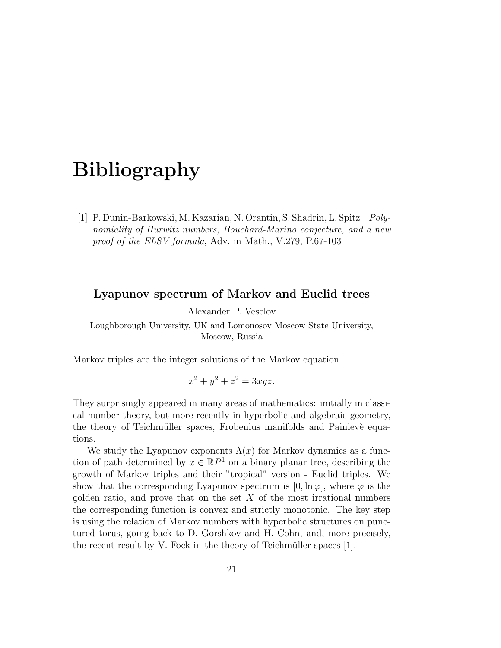[1] P. Dunin-Barkowski, M. Kazarian, N. Orantin, S. Shadrin, L. Spitz *Polynomiality of Hurwitz numbers, Bouchard-Marino conjecture, and a new proof of the ELSV formula*, Adv. in Math., V.279, P.67-103

#### **Lyapunov spectrum of Markov and Euclid trees**

Alexander P. Veselov

Loughborough University, UK and Lomonosov Moscow State University, Moscow, Russia

Markov triples are the integer solutions of the Markov equation

$$
x^2 + y^2 + z^2 = 3xyz.
$$

They surprisingly appeared in many areas of mathematics: initially in classical number theory, but more recently in hyperbolic and algebraic geometry, the theory of Teichmüller spaces, Frobenius manifolds and Painlevè equations.

We study the Lyapunov exponents  $\Lambda(x)$  for Markov dynamics as a function of path determined by  $x \in \mathbb{R}P^1$  on a binary planar tree, describing the growth of Markov triples and their "tropical" version - Euclid triples. We show that the corresponding Lyapunov spectrum is  $[0, \ln \varphi]$ , where  $\varphi$  is the golden ratio, and prove that on the set *X* of the most irrational numbers the corresponding function is convex and strictly monotonic. The key step is using the relation of Markov numbers with hyperbolic structures on punctured torus, going back to D. Gorshkov and H. Cohn, and, more precisely, the recent result by V. Fock in the theory of Teichmüller spaces  $[1]$ .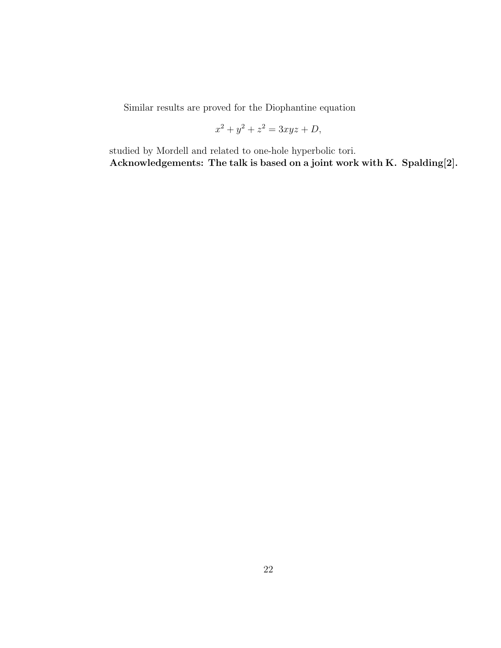Similar results are proved for the Diophantine equation

$$
x^2 + y^2 + z^2 = 3xyz + D,
$$

studied by Mordell and related to one-hole hyperbolic tori. **Acknowledgements: The talk is based on a joint work with K. Spalding[2].**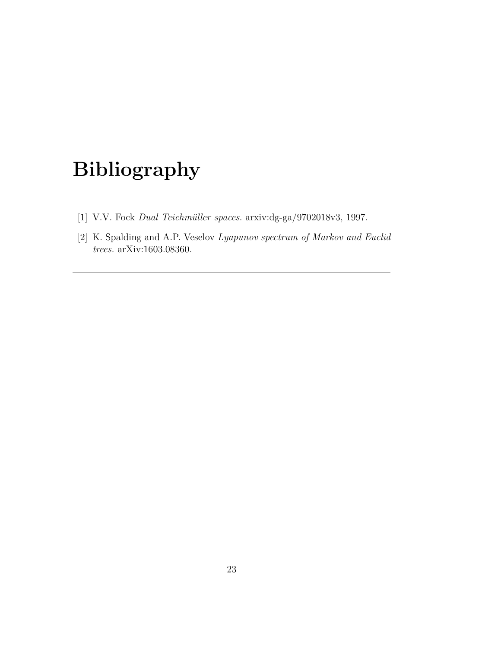- [1] V.V. Fock *Dual Teichm¨uller spaces*. arxiv:dg-ga/9702018v3, 1997.
- [2] K. Spalding and A.P. Veselov *Lyapunov spectrum of Markov and Euclid trees.* arXiv:1603.08360.